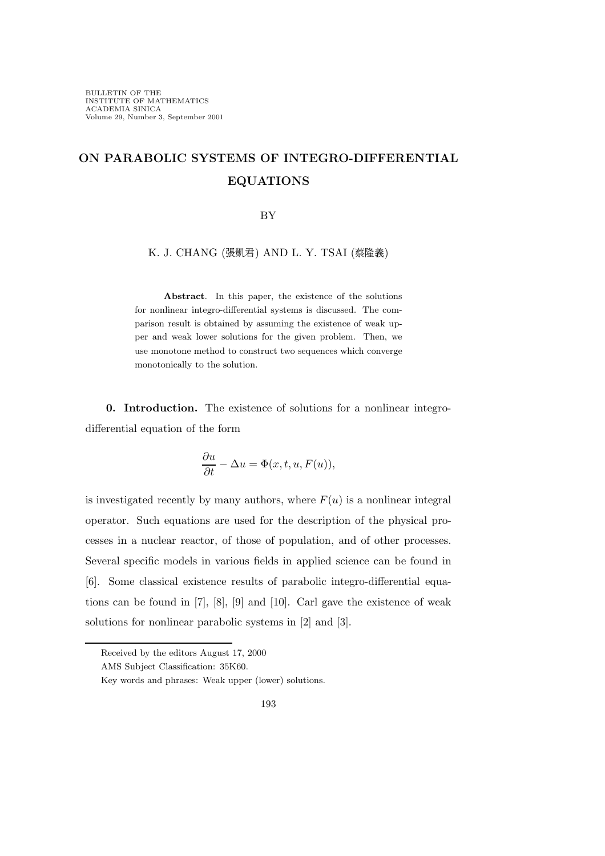## ON PARABOLIC SYSTEMS OF INTEGRO-DIFFERENTIAL EQUATIONS

## BY

K. J. CHANG (張凱君) AND L. Y. TSAI (蔡隆義)

Abstract. In this paper, the existence of the solutions for nonlinear integro-differential systems is discussed. The comparison result is obtained by assuming the existence of weak upper and weak lower solutions for the given problem. Then, we use monotone method to construct two sequences which converge monotonically to the solution.

0. Introduction. The existence of solutions for a nonlinear integrodifferential equation of the form

$$
\frac{\partial u}{\partial t}-\Delta u=\Phi(x,t,u,F(u)),
$$

is investigated recently by many authors, where  $F(u)$  is a nonlinear integral operator. Such equations are used for the description of the physical processes in a nuclear reactor, of those of population, and of other processes. Several specific models in various fields in applied science can be found in [6]. Some classical existence results of parabolic integro-differential equations can be found in [7], [8], [9] and [10]. Carl gave the existence of weak solutions for nonlinear parabolic systems in [2] and [3].

Received by the editors August 17, 2000

AMS Subject Classification: 35K60.

Key words and phrases: Weak upper (lower) solutions.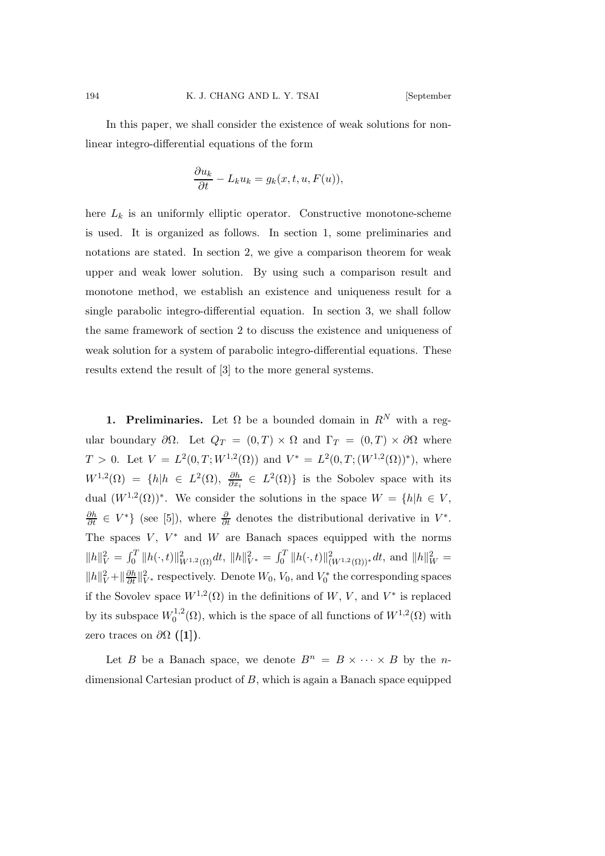In this paper, we shall consider the existence of weak solutions for nonlinear integro-differential equations of the form

$$
\frac{\partial u_k}{\partial t} - L_k u_k = g_k(x, t, u, F(u)),
$$

here  $L_k$  is an uniformly elliptic operator. Constructive monotone-scheme is used. It is organized as follows. In section 1, some preliminaries and notations are stated. In section 2, we give a comparison theorem for weak upper and weak lower solution. By using such a comparison result and monotone method, we establish an existence and uniqueness result for a single parabolic integro-differential equation. In section 3, we shall follow the same framework of section 2 to discuss the existence and uniqueness of weak solution for a system of parabolic integro-differential equations. These results extend the result of [3] to the more general systems.

**1. Preliminaries.** Let  $\Omega$  be a bounded domain in  $R^N$  with a regular boundary  $\partial\Omega$ . Let  $Q_T = (0,T) \times \Omega$  and  $\Gamma_T = (0,T) \times \partial\Omega$  where  $T > 0$ . Let  $V = L^2(0,T;W^{1,2}(\Omega))$  and  $V^* = L^2(0,T;(W^{1,2}(\Omega))^*)$ , where  $W^{1,2}(\Omega) = \{h | h \in L^2(\Omega), \frac{\partial h}{\partial x_i} \in L^2(\Omega)\}\$ is the Sobolev space with its dual  $(W^{1,2}(\Omega))^*$ . We consider the solutions in the space  $W = \{h | h \in V,$  $\frac{\partial h}{\partial t} \in V^*$  (see [5]), where  $\frac{\partial}{\partial t}$  denotes the distributional derivative in  $V^*$ . The spaces  $V, V^*$  and  $W$  are Banach spaces equipped with the norms  $||h||_V^2 = \int_0^T ||h(\cdot,t)||_{W^{1,2}(\Omega)}^2 dt$ ,  $||h||_{V^*}^2 = \int_0^T ||h(\cdot,t)||_{(W^{1,2}(\Omega))^*}^2 dt$ , and  $||h||_W^2 =$  $||h||_V^2 + ||\frac{\partial h}{\partial t}||_{V^*}^2$  respectively. Denote  $W_0$ ,  $V_0$ , and  $V_0^*$  the corresponding spaces if the Sovolev space  $W^{1,2}(\Omega)$  in the definitions of W, V, and  $V^*$  is replaced by its subspace  $W_0^{1,2}$  $0^{1,2}(\Omega)$ , which is the space of all functions of  $W^{1,2}(\Omega)$  with zero traces on  $\partial\Omega$  ([1]).

Let B be a Banach space, we denote  $B^n = B \times \cdots \times B$  by the ndimensional Cartesian product of B, which is again a Banach space equipped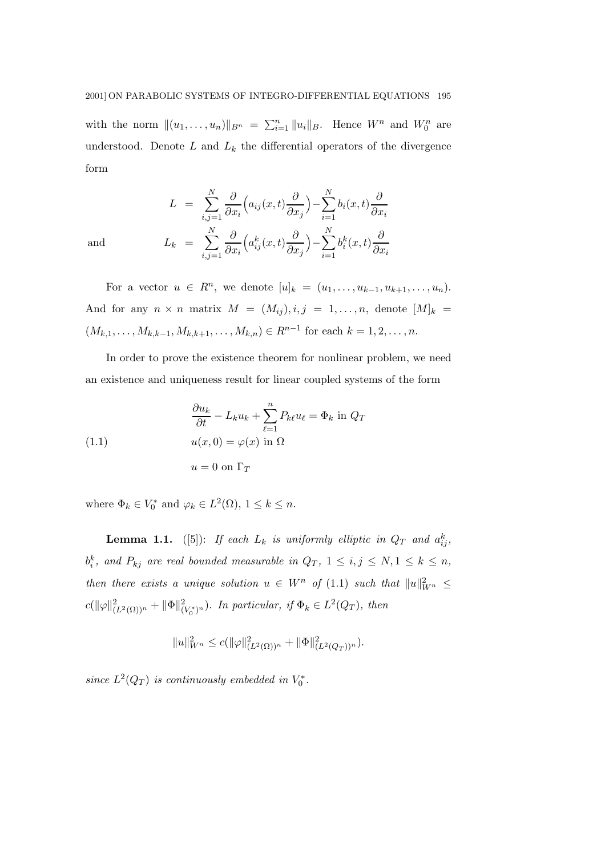with the norm  $||(u_1,\ldots,u_n)||_{B^n} = \sum_{i=1}^n ||u_i||_B$ . Hence  $W^n$  and  $W_0^n$  are understood. Denote  $L$  and  $L_k$  the differential operators of the divergence form

$$
L = \sum_{i,j=1}^{N} \frac{\partial}{\partial x_i} \left( a_{ij}(x,t) \frac{\partial}{\partial x_j} \right) - \sum_{i=1}^{N} b_i(x,t) \frac{\partial}{\partial x_i}
$$
  

$$
L_k = \sum_{i,j=1}^{N} \frac{\partial}{\partial x_i} \left( a_{ij}^k(x,t) \frac{\partial}{\partial x_j} \right) - \sum_{i=1}^{N} b_i^k(x,t) \frac{\partial}{\partial x_i}
$$

and

For a vector  $u \in R^n$ , we denote  $[u]_k = (u_1, ..., u_{k-1}, u_{k+1}, ..., u_n)$ . And for any  $n \times n$  matrix  $M = (M_{ij}), i, j = 1, \ldots, n$ , denote  $[M]_k =$  $(M_{k,1},\ldots,M_{k,k-1},M_{k,k+1},\ldots,M_{k,n}) \in R^{n-1}$  for each  $k=1,2,\ldots,n$ .

In order to prove the existence theorem for nonlinear problem, we need an existence and uniqueness result for linear coupled systems of the form

(1.1) 
$$
\frac{\partial u_k}{\partial t} - L_k u_k + \sum_{\ell=1}^n P_{k\ell} u_\ell = \Phi_k \text{ in } Q_T
$$

$$
u(x, 0) = \varphi(x) \text{ in } \Omega
$$

$$
u = 0 \text{ on } \Gamma_T
$$

where  $\Phi_k \in V_0^*$  and  $\varphi_k \in L^2(\Omega)$ ,  $1 \leq k \leq n$ .

**Lemma 1.1.** ([5]): If each  $L_k$  is uniformly elliptic in  $Q_T$  and  $a_{ij}^k$ ,  $b_i^k$ , and  $P_{kj}$  are real bounded measurable in  $Q_T$ ,  $1 \le i,j \le N, 1 \le k \le n$ , then there exists a unique solution  $u \in W^n$  of  $(1.1)$  such that  $||u||_{W^n}^2 \leq$  $c(\|\varphi\|_{(L^2(\Omega))^n}^2 + \|\Phi\|_{(V_0^*)^n}^2)$ . In particular, if  $\Phi_k \in L^2(Q_T)$ , then

$$
||u||_{W^n}^2 \le c(||\varphi||_{(L^2(\Omega))^n}^2 + ||\Phi||_{(L^2(Q_T))^n}^2).
$$

since  $L^2(Q_T)$  is continuously embedded in  $V_0^*$ .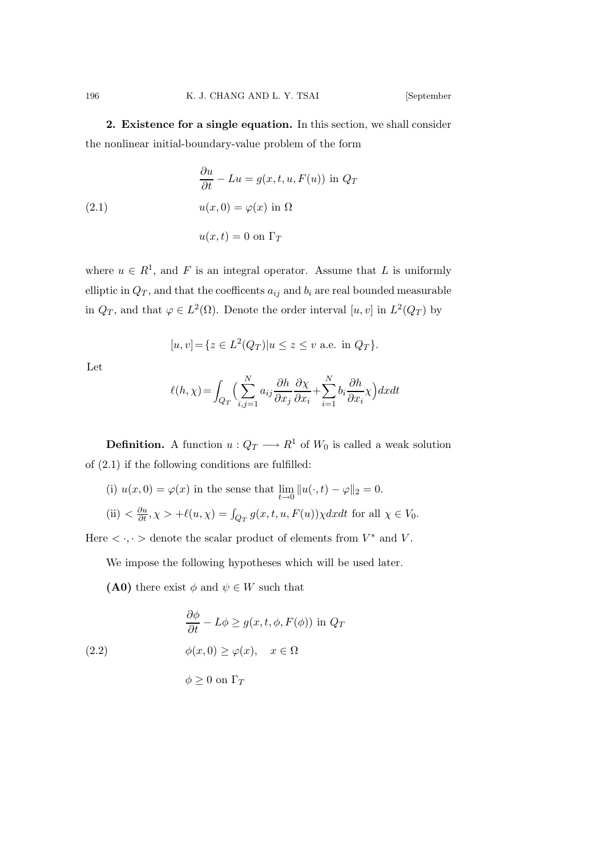2. Existence for a single equation. In this section, we shall consider the nonlinear initial-boundary-value problem of the form

(2.1) 
$$
\frac{\partial u}{\partial t} - Lu = g(x, t, u, F(u)) \text{ in } Q_T
$$

$$
u(x, 0) = \varphi(x) \text{ in } \Omega
$$

$$
u(x, t) = 0 \text{ on } \Gamma_T
$$

where  $u \in R^1$ , and F is an integral operator. Assume that L is uniformly elliptic in  $Q_T$ , and that the coefficents  $a_{ij}$  and  $b_i$  are real bounded measurable in  $Q_T$ , and that  $\varphi \in L^2(\Omega)$ . Denote the order interval  $[u, v]$  in  $L^2(Q_T)$  by

$$
[u, v] = \{ z \in L^2(Q_T) | u \le z \le v \text{ a.e. in } Q_T \}.
$$

Let

$$
\ell(h,\chi) = \int_{Q_T} \Big( \sum_{i,j=1}^N a_{ij} \frac{\partial h}{\partial x_j} \frac{\partial \chi}{\partial x_i} + \sum_{i=1}^N b_i \frac{\partial h}{\partial x_i} \chi \Big) dx dt
$$

**Definition.** A function  $u: Q_T \longrightarrow R^1$  of  $W_0$  is called a weak solution of (2.1) if the following conditions are fulfilled:

(i)  $u(x, 0) = \varphi(x)$  in the sense that  $\lim_{t \to 0} ||u(\cdot, t) - \varphi||_2 = 0.$ 

(ii) 
$$
\langle \frac{\partial u}{\partial t}, \chi \rangle + \ell(u, \chi) = \int_{Q_T} g(x, t, u, F(u)) \chi dx dt
$$
 for all  $\chi \in V_0$ .

Here  $\langle \cdot, \cdot \rangle$  denote the scalar product of elements from  $V^*$  and V.

We impose the following hypotheses which will be used later.

(A0) there exist  $\phi$  and  $\psi \in W$  such that

(2.2) 
$$
\begin{aligned}\n\frac{\partial \phi}{\partial t} - L\phi &\ge g(x, t, \phi, F(\phi)) \text{ in } Q_T \\
\phi(x, 0) &\ge \varphi(x), \quad x \in \Omega\n\end{aligned}
$$

$$
\phi \ge 0 \text{ on } \Gamma_T
$$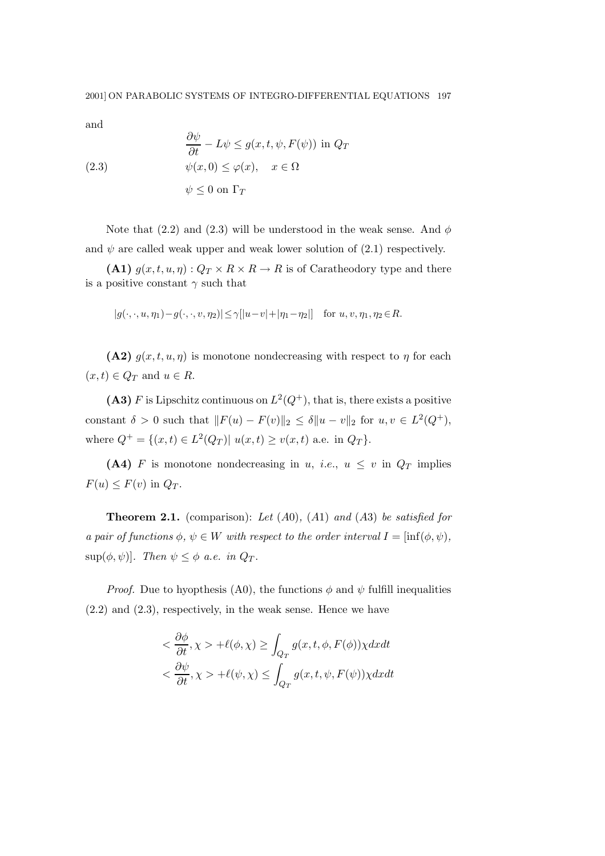and

(2.3) 
$$
\begin{aligned}\n\frac{\partial \psi}{\partial t} - L\psi &\le g(x, t, \psi, F(\psi)) \text{ in } Q_T \\
\psi(x, 0) &\le \varphi(x), \quad x \in \Omega \\
\psi &\le 0 \text{ on } \Gamma_T\n\end{aligned}
$$

Note that (2.2) and (2.3) will be understood in the weak sense. And  $\phi$ and  $\psi$  are called weak upper and weak lower solution of  $(2.1)$  respectively.

(A1)  $g(x,t,u,\eta): Q_T \times R \times R \to R$  is of Caratheodory type and there is a positive constant  $\gamma$  such that

$$
|g(\cdot,\cdot,u,\eta_1)-g(\cdot,\cdot,v,\eta_2)|\leq \gamma[|u-v|+|\eta_1-\eta_2|] \quad \text{for } u,v,\eta_1,\eta_2\in R.
$$

(A2)  $g(x,t,u,\eta)$  is monotone nondecreasing with respect to  $\eta$  for each  $(x,t) \in Q_T$  and  $u \in R$ .

(A3) F is Lipschitz continuous on  $L^2(Q^+)$ , that is, there exists a positive constant  $\delta > 0$  such that  $||F(u) - F(v)||_2 \leq \delta ||u - v||_2$  for  $u, v \in L^2(Q^+),$ where  $Q^+ = \{(x, t) \in L^2(Q_T) | u(x, t) \ge v(x, t) \text{ a.e. in } Q_T\}.$ 

(A4) F is monotone nondecreasing in u, i.e.,  $u \leq v$  in  $Q_T$  implies  $F(u) \leq F(v)$  in  $Q_T$ .

**Theorem 2.1.** (comparison): Let  $(A0)$ ,  $(A1)$  and  $(A3)$  be satisfied for a pair of functions  $\phi, \psi \in W$  with respect to the order interval  $I = \text{inf}(\phi, \psi)$ ,  $\sup(\phi, \psi)$ ]. Then  $\psi \leq \phi$  a.e. in  $Q_T$ .

*Proof.* Due to hypothesis (A0), the functions  $\phi$  and  $\psi$  fulfill inequalities (2.2) and (2.3), respectively, in the weak sense. Hence we have

$$
\langle \frac{\partial \phi}{\partial t}, \chi \rangle + \ell(\phi, \chi) \ge \int_{Q_T} g(x, t, \phi, F(\phi)) \chi dx dt
$$
  

$$
\langle \frac{\partial \psi}{\partial t}, \chi \rangle + \ell(\psi, \chi) \le \int_{Q_T} g(x, t, \psi, F(\psi)) \chi dx dt
$$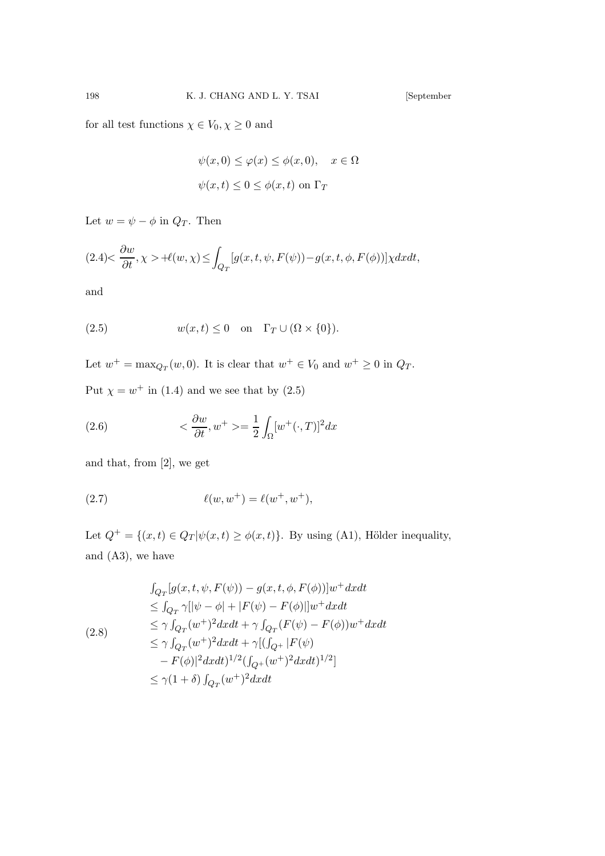for all test functions  $\chi\in V_0, \chi\geq 0$  and

$$
\psi(x,0) \le \varphi(x) \le \phi(x,0), \quad x \in \Omega
$$
  

$$
\psi(x,t) \le 0 \le \phi(x,t) \text{ on } \Gamma_T
$$

Let  $w = \psi - \phi$  in  $Q_T$ . Then

$$
(2.4)\langle \frac{\partial w}{\partial t}, \chi \rangle + \ell(w, \chi) \le \int_{Q_T} [g(x, t, \psi, F(\psi)) - g(x, t, \phi, F(\phi))] \chi dx dt,
$$

and

(2.5) 
$$
w(x,t) \leq 0 \quad \text{on} \quad \Gamma_T \cup (\Omega \times \{0\}).
$$

Let  $w^+ = \max_{Q_T}(w, 0)$ . It is clear that  $w^+ \in V_0$  and  $w^+ \geq 0$  in  $Q_T$ . Put  $\chi = w^+$  in (1.4) and we see that by (2.5)

(2.6) 
$$
\langle \frac{\partial w}{\partial t}, w^+ \rangle = \frac{1}{2} \int_{\Omega} [w^+(\cdot, T)]^2 dx
$$

and that, from [2], we get

(2.7) 
$$
\ell(w, w^+) = \ell(w^+, w^+),
$$

Let  $Q^+ = \{(x,t) \in Q_T | \psi(x,t) \geq \phi(x,t)\}$ . By using (A1), Hölder inequality, and (A3), we have

$$
\int_{Q_T} [g(x, t, \psi, F(\psi)) - g(x, t, \phi, F(\phi))]w^+ dxdt
$$
\n
$$
\leq \int_{Q_T} \gamma [\psi - \phi] + |F(\psi) - F(\phi)||w^+ dxdt
$$
\n
$$
\leq \gamma \int_{Q_T} (w^+)^2 dxdt + \gamma \int_{Q_T} (F(\psi) - F(\phi))w^+ dxdt
$$
\n
$$
\leq \gamma \int_{Q_T} (w^+)^2 dxdt + \gamma [(\int_{Q^+} |F(\psi) - F(\phi)|)^2 dxdt)^{1/2}]
$$
\n
$$
\leq \gamma (1 + \delta) \int_{Q_T} (w^+)^2 dxdt
$$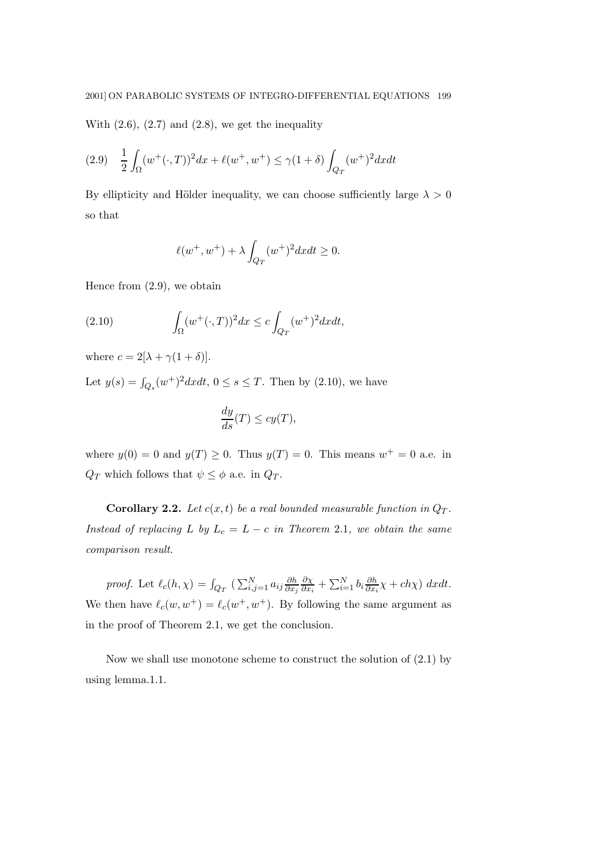With  $(2.6)$ ,  $(2.7)$  and  $(2.8)$ , we get the inequality

$$
(2.9) \quad \frac{1}{2} \int_{\Omega} (w^+(\cdot,T))^2 dx + \ell(w^+,w^+) \le \gamma (1+\delta) \int_{Q_T} (w^+)^2 dx dt
$$

By ellipticity and Hölder inequality, we can choose sufficiently large  $\lambda > 0$ so that

$$
\ell(w^+, w^+) + \lambda \int_{Q_T} (w^+)^2 dx dt \ge 0.
$$

Hence from (2.9), we obtain

(2.10) 
$$
\int_{\Omega} (w^+(\cdot,T))^2 dx \leq c \int_{Q_T} (w^+)^2 dx dt,
$$

where  $c = 2[\lambda + \gamma(1 + \delta)].$ 

Let  $y(s) = \int_{Q_s}(w^+)^2 dx dt$ ,  $0 \le s \le T$ . Then by (2.10), we have

$$
\frac{dy}{ds}(T) \le cy(T),
$$

where  $y(0) = 0$  and  $y(T) \ge 0$ . Thus  $y(T) = 0$ . This means  $w^+ = 0$  a.e. in  $Q_T$  which follows that  $\psi \leq \phi$  a.e. in  $Q_T$ .

**Corollary 2.2.** Let  $c(x,t)$  be a real bounded measurable function in  $Q_T$ . Instead of replacing L by  $L_c = L - c$  in Theorem 2.1, we obtain the same comparison result.

proof. Let  $\ell_c(h, \chi) = \int_{Q_T} (\sum_{i,j=1}^N a_{ij} \frac{\partial h}{\partial x_j}$  $\partial x_j$  $\partial \chi$  $\frac{\partial \chi}{\partial x_i} + \sum_{i=1}^N b_i \frac{\partial h}{\partial x_i}$  $\frac{\partial h}{\partial x_i}\chi + ch\chi$ ) dxdt. We then have  $\ell_c(w, w^+) = \ell_c(w^+, w^+)$ . By following the same argument as in the proof of Theorem 2.1, we get the conclusion.

Now we shall use monotone scheme to construct the solution of (2.1) by using lemma.1.1.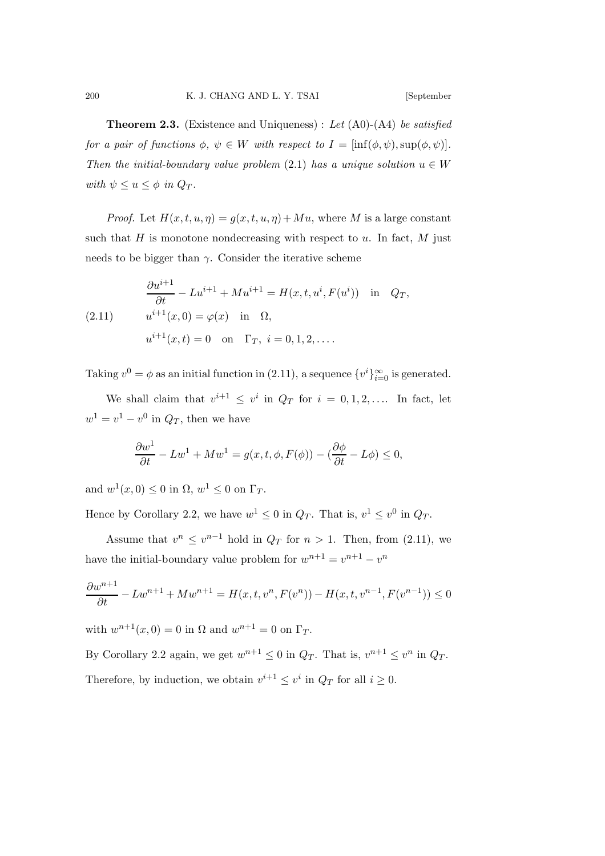**Theorem 2.3.** (Existence and Uniqueness): Let  $(A0)$ - $(A4)$  be satisfied for a pair of functions  $\phi$ ,  $\psi \in W$  with respect to  $I = [\inf(\phi, \psi), \sup(\phi, \psi)].$ Then the initial-boundary value problem (2.1) has a unique solution  $u \in W$ with  $\psi \leq u \leq \phi$  in  $Q_T$ .

*Proof.* Let  $H(x,t,u,\eta) = g(x,t,u,\eta) + Mu$ , where M is a large constant such that  $H$  is monotone nondecreasing with respect to  $u$ . In fact,  $M$  just needs to be bigger than  $\gamma$ . Consider the iterative scheme

(2.11) 
$$
\frac{\partial u^{i+1}}{\partial t} - Lu^{i+1} + Mu^{i+1} = H(x, t, u^i, F(u^i)) \text{ in } Q_T,
$$

$$
u^{i+1}(x, 0) = \varphi(x) \text{ in } \Omega,
$$

$$
u^{i+1}(x, t) = 0 \text{ on } \Gamma_T, i = 0, 1, 2, ....
$$

Taking  $v^0 = \phi$  as an initial function in (2.11), a sequence  $\{v^i\}_{i=0}^{\infty}$  is generated.

We shall claim that  $v^{i+1} \leq v^i$  in  $Q_T$  for  $i = 0, 1, 2, \ldots$  In fact, let  $w^1 = v^1 - v^0$  in  $Q_T$ , then we have

$$
\frac{\partial w^1}{\partial t} - L w^1 + M w^1 = g(x, t, \phi, F(\phi)) - (\frac{\partial \phi}{\partial t} - L\phi) \le 0,
$$

and  $w^1(x,0) \le 0$  in  $\Omega, w^1 \le 0$  on  $\Gamma_T$ .

Hence by Corollary 2.2, we have  $w^1 \leq 0$  in  $Q_T$ . That is,  $v^1 \leq v^0$  in  $Q_T$ .

Assume that  $v^n \leq v^{n-1}$  hold in  $Q_T$  for  $n > 1$ . Then, from (2.11), we have the initial-boundary value problem for  $w^{n+1} = v^{n+1} - v^n$ 

$$
\frac{\partial w^{n+1}}{\partial t} - L w^{n+1} + M w^{n+1} = H(x, t, v^n, F(v^n)) - H(x, t, v^{n-1}, F(v^{n-1})) \le 0
$$

with  $w^{n+1}(x, 0) = 0$  in  $\Omega$  and  $w^{n+1} = 0$  on  $\Gamma_T$ .

By Corollary 2.2 again, we get  $w^{n+1} \leq 0$  in  $Q_T$ . That is,  $v^{n+1} \leq v^n$  in  $Q_T$ . Therefore, by induction, we obtain  $v^{i+1} \leq v^i$  in  $Q_T$  for all  $i \geq 0$ .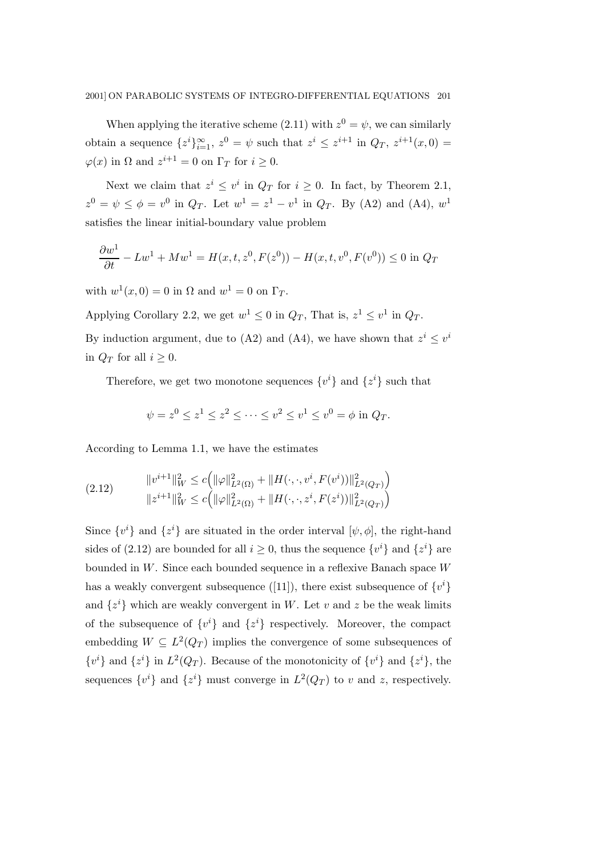When applying the iterative scheme (2.11) with  $z^0 = \psi$ , we can similarly obtain a sequence  $\{z^i\}_{i=1}^{\infty}$ ,  $z^0 = \psi$  such that  $z^i \leq z^{i+1}$  in  $Q_T$ ,  $z^{i+1}(x,0) =$  $\varphi(x)$  in  $\Omega$  and  $z^{i+1} = 0$  on  $\Gamma_T$  for  $i \geq 0$ .

Next we claim that  $z^i \leq v^i$  in  $Q_T$  for  $i \geq 0$ . In fact, by Theorem 2.1,  $z^0 = \psi \leq \phi = v^0$  in  $Q_T$ . Let  $w^1 = z^1 - v^1$  in  $Q_T$ . By (A2) and (A4),  $w^1$ satisfies the linear initial-boundary value problem

$$
\frac{\partial w^1}{\partial t} - L w^1 + M w^1 = H(x, t, z^0, F(z^0)) - H(x, t, v^0, F(v^0)) \le 0 \text{ in } Q_T
$$

with  $w^1(x,0) = 0$  in  $\Omega$  and  $w^1 = 0$  on  $\Gamma_T$ .

Applying Corollary 2.2, we get  $w^1 \leq 0$  in  $Q_T$ , That is,  $z^1 \leq v^1$  in  $Q_T$ .

By induction argument, due to (A2) and (A4), we have shown that  $z^i \leq v^i$ in  $Q_T$  for all  $i \geq 0$ .

Therefore, we get two monotone sequences  $\{v^i\}$  and  $\{z^i\}$  such that

$$
\psi = z^0 \le z^1 \le z^2 \le \dots \le v^2 \le v^1 \le v^0 = \phi
$$
 in  $Q_T$ .

According to Lemma 1.1, we have the estimates

(2.12) 
$$
\|v^{i+1}\|_{W}^{2} \leq c \Big(\|\varphi\|_{L^{2}(\Omega)}^{2} + \|H(\cdot,\cdot,v^{i},F(v^{i}))\|_{L^{2}(Q_{T})}^{2}\Big) \|z^{i+1}\|_{W}^{2} \leq c \Big(\|\varphi\|_{L^{2}(\Omega)}^{2} + \|H(\cdot,\cdot,z^{i},F(z^{i}))\|_{L^{2}(Q_{T})}^{2}\Big)
$$

Since  $\{v^i\}$  and  $\{z^i\}$  are situated in the order interval  $[\psi, \phi]$ , the right-hand sides of (2.12) are bounded for all  $i \geq 0$ , thus the sequence  $\{v^i\}$  and  $\{z^i\}$  are bounded in W. Since each bounded sequence in a reflexive Banach space W has a weakly convergent subsequence ([11]), there exist subsequence of  $\{v^i\}$ and  $\{z^i\}$  which are weakly convergent in W. Let v and z be the weak limits of the subsequence of  $\{v^i\}$  and  $\{z^i\}$  respectively. Moreover, the compact embedding  $W \subseteq L^2(Q_T)$  implies the convergence of some subsequences of  $\{v^{i}\}\$ and  $\{z^{i}\}\$ in  $L^{2}(Q_{T})$ . Because of the monotonicity of  $\{v^{i}\}\$ and  $\{z^{i}\}\$ , the sequences  $\{v^i\}$  and  $\{z^i\}$  must converge in  $L^2(Q_T)$  to v and z, respectively.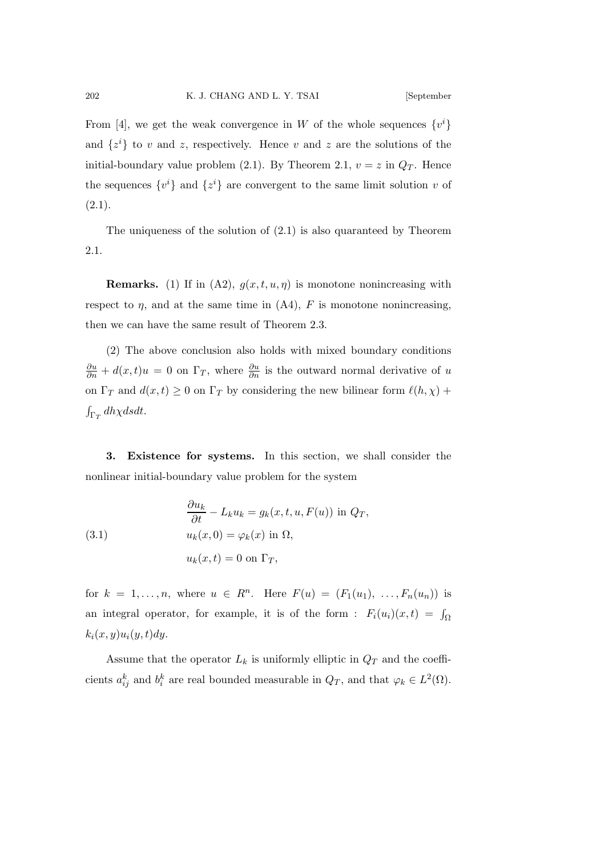From [4], we get the weak convergence in W of the whole sequences  $\{v^i\}$ and  $\{z^i\}$  to v and z, respectively. Hence v and z are the solutions of the initial-boundary value problem (2.1). By Theorem 2.1,  $v = z$  in  $Q_T$ . Hence the sequences  $\{v^i\}$  and  $\{z^i\}$  are convergent to the same limit solution v of  $(2.1).$ 

The uniqueness of the solution of (2.1) is also quaranteed by Theorem 2.1.

**Remarks.** (1) If in (A2),  $g(x,t,u,\eta)$  is monotone nonincreasing with respect to  $\eta$ , and at the same time in (A4), F is monotone nonincreasing, then we can have the same result of Theorem 2.3.

(2) The above conclusion also holds with mixed boundary conditions  $\frac{\partial u}{\partial n} + d(x, t)u = 0$  on  $\Gamma_T$ , where  $\frac{\partial u}{\partial n}$  is the outward normal derivative of u on  $\Gamma_T$  and  $d(x,t) \ge 0$  on  $\Gamma_T$  by considering the new bilinear form  $\ell(h,\chi)$  +  $\int_{\Gamma_T} dh\chi dsdt$ .

3. Existence for systems. In this section, we shall consider the nonlinear initial-boundary value problem for the system

(3.1) 
$$
\frac{\partial u_k}{\partial t} - L_k u_k = g_k(x, t, u, F(u)) \text{ in } Q_T,
$$

$$
u_k(x, 0) = \varphi_k(x) \text{ in } \Omega,
$$

$$
u_k(x, t) = 0 \text{ on } \Gamma_T,
$$

for  $k = 1, ..., n$ , where  $u \in R^n$ . Here  $F(u) = (F_1(u_1), ..., F_n(u_n))$  is an integral operator, for example, it is of the form :  $F_i(u_i)(x,t) = \int_{\Omega}$  $k_i(x,y)u_i(y,t)dy.$ 

Assume that the operator  $L_k$  is uniformly elliptic in  $Q_T$  and the coefficients  $a_{ij}^k$  and  $b_i^k$  are real bounded measurable in  $Q_T$ , and that  $\varphi_k \in L^2(\Omega)$ .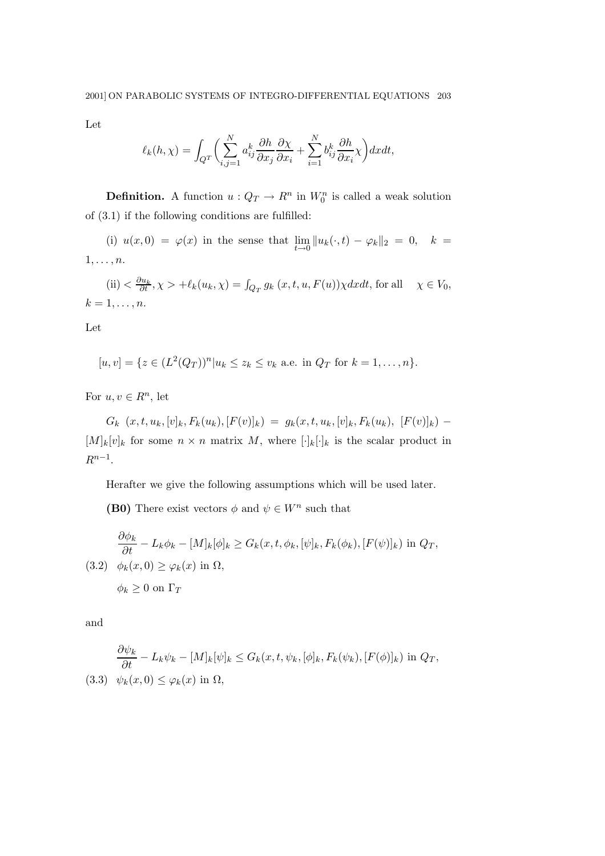Let

$$
\ell_k(h,\chi) = \int_{Q^T} \bigg( \sum_{i,j=1}^N a_{ij}^k \frac{\partial h}{\partial x_j} \frac{\partial \chi}{\partial x_i} + \sum_{i=1}^N b_{ij}^k \frac{\partial h}{\partial x_i} \chi \bigg) dx dt,
$$

**Definition.** A function  $u: Q_T \to R^n$  in  $W_0^n$  is called a weak solution of (3.1) if the following conditions are fulfilled:

(i)  $u(x,0) = \varphi(x)$  in the sense that  $\lim_{t \to 0} ||u_k(\cdot,t) - \varphi_k||_2 = 0$ ,  $k =$  $1,\ldots,n$ .

 $(ii) < \frac{\partial u_k}{\partial t}, \chi > +\ell_k(u_k, \chi) = \int_{Q_T} g_k(x, t, u, F(u)) \chi dx dt$ , for all  $\chi \in V_0$ ,  $k=1,\ldots,n.$ 

Let

$$
[u, v] = \{ z \in (L^{2}(Q_{T}))^{n} | u_{k} \leq z_{k} \leq v_{k} \text{ a.e. in } Q_{T} \text{ for } k = 1, ..., n \}.
$$

For  $u, v \in \mathbb{R}^n$ , let

 $G_k(x, t, u_k, [v]_k, F_k(u_k), [F(v)]_k) = g_k(x, t, u_k, [v]_k, F_k(u_k), [F(v)]_k)$  $[M]_k[v]_k$  for some  $n \times n$  matrix M, where  $[\cdot]_k[\cdot]_k$  is the scalar product in  $R^{n-1}$ .

Herafter we give the following assumptions which will be used later.

(B0) There exist vectors  $\phi$  and  $\psi \in W^n$  such that

$$
\frac{\partial \phi_k}{\partial t} - L_k \phi_k - [M]_k [\phi]_k \ge G_k(x, t, \phi_k, [\psi]_k, F_k(\phi_k), [F(\psi)]_k) \text{ in } Q_T,
$$
  
(3.2)  $\phi_k(x, 0) \ge \varphi_k(x) \text{ in } \Omega,$   
 $\phi_k \ge 0 \text{ on } \Gamma_T$ 

and

$$
\frac{\partial \psi_k}{\partial t} - L_k \psi_k - [M]_k [\psi]_k \le G_k(x, t, \psi_k, [\phi]_k, F_k(\psi_k), [F(\phi)]_k) \text{ in } Q_T,
$$
  
(3.3)  $\psi_k(x, 0) \le \varphi_k(x) \text{ in } \Omega,$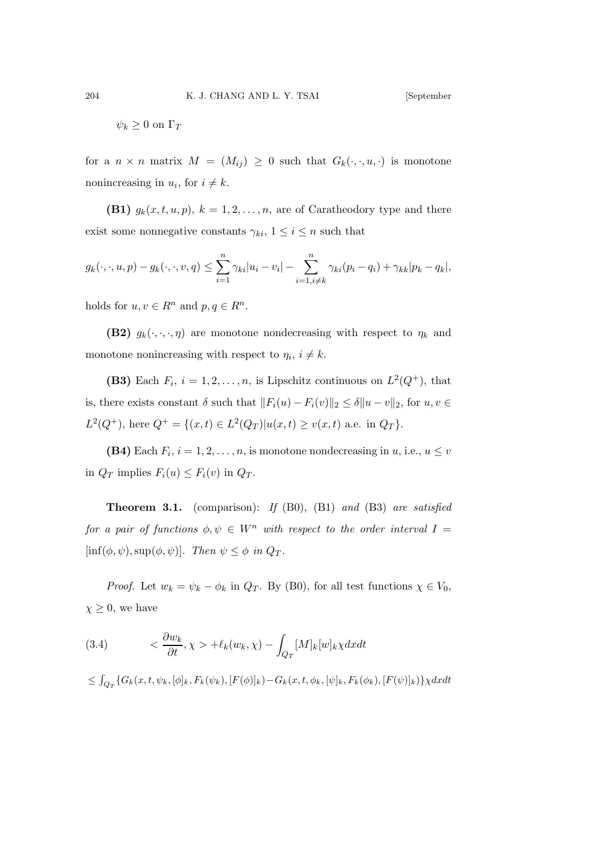$$
\psi_k \ge 0 \text{ on } \Gamma_T
$$

for a  $n \times n$  matrix  $M = (M_{ij}) \geq 0$  such that  $G_k(\cdot, \cdot, u, \cdot)$  is monotone nonincreasing in  $u_i$ , for  $i \neq k$ .

(B1)  $g_k(x,t,u,p)$ ,  $k = 1,2,...,n$ , are of Caratheodory type and there exist some nonnegative constants  $\gamma_{ki}$ ,  $1 \leq i \leq n$  such that

$$
g_k(\cdot,\cdot,u,p)-g_k(\cdot,\cdot,v,q)\leq \sum_{i=1}^n\gamma_{ki}|u_i-v_i|-\sum_{i=1,i\neq k}^n\gamma_{ki}(p_i-q_i)+\gamma_{kk}|p_k-q_k|,
$$

holds for  $u, v \in R^n$  and  $p, q \in R^n$ .

(B2)  $g_k(\cdot, \cdot, \cdot, \eta)$  are monotone nondecreasing with respect to  $\eta_k$  and monotone nonincreasing with respect to  $\eta_i$ ,  $i \neq k$ .

(B3) Each  $F_i$ ,  $i = 1, 2, ..., n$ , is Lipschitz continuous on  $L^2(Q^+)$ , that is, there exists constant  $\delta$  such that  $||F_i(u) - F_i(v)||_2 \leq \delta ||u - v||_2$ , for  $u, v \in$  $L^2(Q^+),$  here  $Q^+ = \{(x,t) \in L^2(Q_T) | u(x,t) \ge v(x,t) \text{ a.e. in } Q_T\}.$ 

(B4) Each  $F_i$ ,  $i = 1, 2, ..., n$ , is monotone nondecreasing in  $u$ , i.e.,  $u \leq v$ in  $Q_T$  implies  $F_i(u) \leq F_i(v)$  in  $Q_T$ .

**Theorem 3.1.** (comparison): If  $(B0)$ ,  $(B1)$  and  $(B3)$  are satisfied for a pair of functions  $\phi, \psi \in W^n$  with respect to the order interval  $I =$  $[\inf(\phi, \psi), \sup(\phi, \psi)]$ . Then  $\psi \leq \phi$  in  $Q_T$ .

*Proof.* Let  $w_k = \psi_k - \phi_k$  in  $Q_T$ . By (B0), for all test functions  $\chi \in V_0$ ,  $\chi \geq 0$ , we have

(3.4) 
$$
\langle \frac{\partial w_k}{\partial t}, \chi \rangle + \ell_k(w_k, \chi) - \int_{Q_T} [M]_k [w]_k \chi dx dt
$$

$$
\leq \int_{Q_T} \{ G_k(x, t, \psi_k, [\phi]_k, F_k(\psi_k), [F(\phi)]_k) - G_k(x, t, \phi_k, [\psi]_k, F_k(\phi_k), [F(\psi)]_k) \} \chi dx dt
$$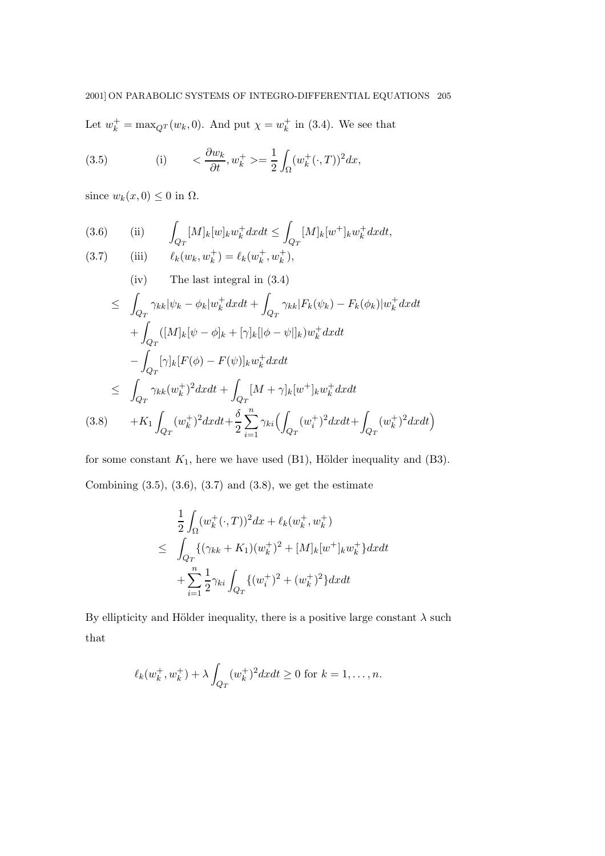Let  $w_k^+ = \max_{Q} w_k$ , 0). And put  $\chi = w_k^+$  in (3.4). We see that

(3.5) (i) 
$$
<\frac{\partial w_k}{\partial t}, w_k^+> = \frac{1}{2} \int_{\Omega} (w_k^+(\cdot, T))^2 dx,
$$

since  $w_k(x, 0) \leq 0$  in  $\Omega$ .

(3.6) (ii) 
$$
\int_{Q_T} [M]_k [w]_k w_k^+ dx dt \le \int_{Q_T} [M]_k [w^+]_k w_k^+ dx dt,
$$
  
(3.7) (iii)  $\ell_k (w_k, w_k^+) = \ell_k (w_k^+, w_k^+),$ 

(iv) The last integral in (3.4)  
\n
$$
\leq \int_{Q_T} \gamma_{kk} |\psi_k - \phi_k| w_k^+ dx dt + \int_{Q_T} \gamma_{kk} |F_k(\psi_k) - F_k(\phi_k)| w_k^+ dx dt
$$
\n
$$
+ \int_{Q_T} ([M]_k [\psi - \phi]_k + [\gamma]_k [|\phi - \psi|]_k) w_k^+ dx dt
$$
\n
$$
- \int_{Q_T} [\gamma]_k [F(\phi) - F(\psi)]_k w_k^+ dx dt
$$
\n
$$
\leq \int_{Q_T} \gamma_{kk} (w_k^+)^2 dx dt + \int_{Q_T} [M + \gamma]_k [w^+]_k w_k^+ dx dt
$$
\n(3.8) 
$$
+ K_1 \int_{Q_T} (w_k^+)^2 dx dt + \frac{\delta}{2} \sum_{i=1}^n \gamma_{ki} (\int_{Q_T} (w_i^+)^2 dx dt + \int_{Q_T} (w_k^+)^2 dx dt)
$$

for some constant  $K_1$ , here we have used (B1), Hölder inequality and (B3). Combining  $(3.5), (3.6), (3.7)$  and  $(3.8),$  we get the estimate

$$
\frac{1}{2} \int_{\Omega} (w_k^+(\cdot, T))^2 dx + \ell_k(w_k^+, w_k^+) \n\leq \int_{Q_T} \{ (\gamma_{kk} + K_1)(w_k^+)^2 + [M]_k [w^+]_k w_k^+ \} dx dt \n+ \sum_{i=1}^n \frac{1}{2} \gamma_{ki} \int_{Q_T} \{ (w_i^+)^2 + (w_k^+)^2 \} dx dt
$$

By ellipticity and Hölder inequality, there is a positive large constant  $\lambda$  such that

$$
\ell_k(w_k^+, w_k^+) + \lambda \int_{Q_T} (w_k^+)^2 dx dt \ge 0
$$
 for  $k = 1, ..., n$ .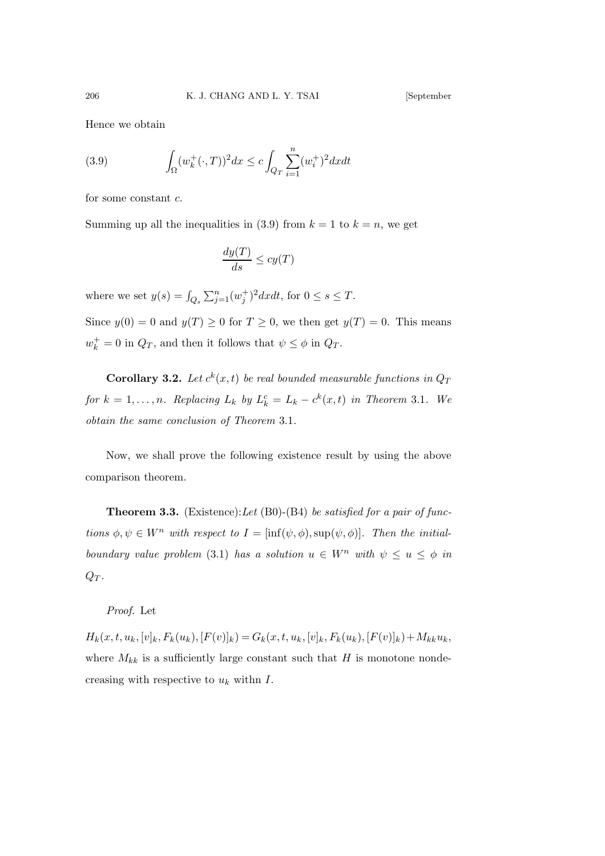Hence we obtain

(3.9) 
$$
\int_{\Omega} (w_k^+(\cdot, T))^2 dx \leq c \int_{Q_T} \sum_{i=1}^n (w_i^+)^2 dx dt
$$

for some constant c.

Summing up all the inequalities in (3.9) from  $k = 1$  to  $k = n$ , we get

$$
\frac{dy(T)}{ds} \le cy(T)
$$

where we set  $y(s) = \int_{Q_s} \sum_{j=1}^n (w_j^+)^2 dx dt$ , for  $0 \le s \le T$ .

Since  $y(0) = 0$  and  $y(T) \ge 0$  for  $T \ge 0$ , we then get  $y(T) = 0$ . This means  $w_k^+ = 0$  in  $Q_T$ , and then it follows that  $\psi \leq \phi$  in  $Q_T$ .

**Corollary 3.2.** Let  $c^k(x,t)$  be real bounded measurable functions in  $Q_T$ for  $k = 1, \ldots, n$ . Replacing  $L_k$  by  $L_k^c = L_k - c^k(x, t)$  in Theorem 3.1. We obtain the same conclusion of Theorem 3.1.

Now, we shall prove the following existence result by using the above comparison theorem.

**Theorem 3.3.** (Existence): Let  $(B0)$ - $(B4)$  be satisfied for a pair of functions  $\phi, \psi \in W^n$  with respect to  $I = [\inf(\psi, \phi), \sup(\psi, \phi)]$ . Then the initialboundary value problem (3.1) has a solution  $u \in W^n$  with  $\psi \leq u \leq \phi$  in  $Q_T$ .

Proof. Let

 $H_k(x,t,u_k,[v]_k,F_k(u_k),[F(v)]_k) = G_k(x,t,u_k,[v]_k,F_k(u_k),[F(v)]_k)+M_ku_k,$ where  $M_{kk}$  is a sufficiently large constant such that H is monotone nondecreasing with respective to  $u_k$  withn  $I$ .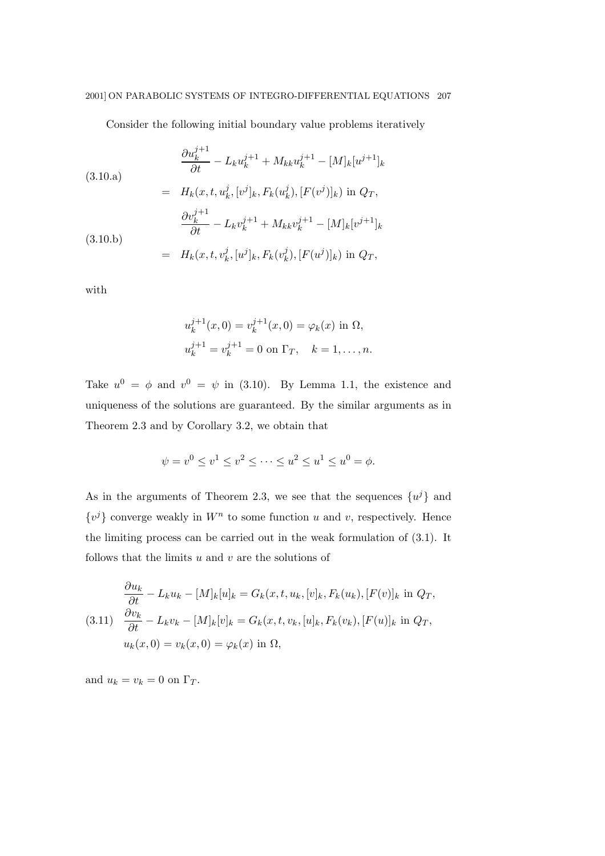Consider the following initial boundary value problems iteratively

(3.10.a)  
\n
$$
\frac{\partial u_k^{j+1}}{\partial t} - L_k u_k^{j+1} + M_{kk} u_k^{j+1} - [M]_k [u^{j+1}]_k
$$
\n
$$
= H_k(x, t, u_k^j, [v^j]_k, F_k(u_k^j), [F(v^j)]_k) \text{ in } Q_T,
$$
\n
$$
\frac{\partial v_k^{j+1}}{\partial t} - L_k v_k^{j+1} + M_{kk} v_k^{j+1} - [M]_k [v^{j+1}]_k
$$
\n(3.10.b)  
\n
$$
= H_k(x, t, v_k^j, [u^j]_k, F_k(v_k^j), [F(u^j)]_k) \text{ in } Q_T,
$$

with

$$
u_k^{j+1}(x,0) = v_k^{j+1}(x,0) = \varphi_k(x) \text{ in } \Omega,
$$
  

$$
u_k^{j+1} = v_k^{j+1} = 0 \text{ on } \Gamma_T, \quad k = 1, ..., n.
$$

Take  $u^0 = \phi$  and  $v^0 = \psi$  in (3.10). By Lemma 1.1, the existence and uniqueness of the solutions are guaranteed. By the similar arguments as in Theorem 2.3 and by Corollary 3.2, we obtain that

$$
\psi = v^0 \le v^1 \le v^2 \le \dots \le u^2 \le u^1 \le u^0 = \phi.
$$

As in the arguments of Theorem 2.3, we see that the sequences  $\{u^{j}\}\$  and  $\{v^j\}$  converge weakly in  $W^n$  to some function u and v, respectively. Hence the limiting process can be carried out in the weak formulation of (3.1). It follows that the limits  $u$  and  $v$  are the solutions of

$$
\frac{\partial u_k}{\partial t} - L_k u_k - [M]_k [u]_k = G_k(x, t, u_k, [v]_k, F_k(u_k), [F(v)]_k \text{ in } Q_T,
$$
  
(3.11) 
$$
\frac{\partial v_k}{\partial t} - L_k v_k - [M]_k [v]_k = G_k(x, t, v_k, [u]_k, F_k(v_k), [F(u)]_k \text{ in } Q_T,
$$
  

$$
u_k(x, 0) = v_k(x, 0) = \varphi_k(x) \text{ in } \Omega,
$$

and  $u_k = v_k = 0$  on  $\Gamma_T$ .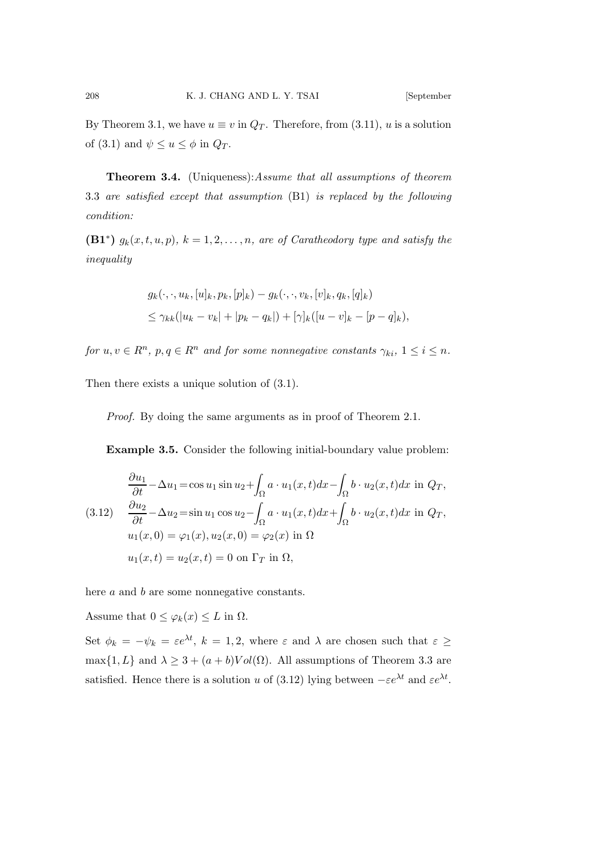By Theorem 3.1, we have  $u \equiv v$  in  $Q_T$ . Therefore, from (3.11), u is a solution of (3.1) and  $\psi \leq u \leq \phi$  in  $Q_T$ .

Theorem 3.4. (Uniqueness):Assume that all assumptions of theorem 3.3 are satisfied except that assumption (B1) is replaced by the following condition:

 $(B1^*)$   $g_k(x,t,u,p)$ ,  $k = 1,2,...,n$ , are of Caratheodory type and satisfy the inequality

$$
g_k(\cdot, \cdot, u_k, [u]_k, p_k, [p]_k) - g_k(\cdot, \cdot, v_k, [v]_k, q_k, [q]_k)
$$
  

$$
\leq \gamma_{kk}(|u_k - v_k| + |p_k - q_k|) + [\gamma]_k([u - v]_k - [p - q]_k),
$$

for  $u, v \in R^n$ ,  $p, q \in R^n$  and for some nonnegative constants  $\gamma_{ki}$ ,  $1 \le i \le n$ .

Then there exists a unique solution of (3.1).

Proof. By doing the same arguments as in proof of Theorem 2.1.

Example 3.5. Consider the following initial-boundary value problem:

$$
\frac{\partial u_1}{\partial t} - \Delta u_1 = \cos u_1 \sin u_2 + \int_{\Omega} a \cdot u_1(x, t) dx - \int_{\Omega} b \cdot u_2(x, t) dx \text{ in } Q_T,
$$
  
(3.12) 
$$
\frac{\partial u_2}{\partial t} - \Delta u_2 = \sin u_1 \cos u_2 - \int_{\Omega} a \cdot u_1(x, t) dx + \int_{\Omega} b \cdot u_2(x, t) dx \text{ in } Q_T,
$$
  

$$
u_1(x, 0) = \varphi_1(x), u_2(x, 0) = \varphi_2(x) \text{ in } \Omega,
$$
  

$$
u_1(x, t) = u_2(x, t) = 0 \text{ on } \Gamma_T \text{ in } \Omega,
$$

here a and b are some nonnegative constants.

Assume that  $0 \leq \varphi_k(x) \leq L$  in  $\Omega$ .

Set  $\phi_k = -\psi_k = \varepsilon e^{\lambda t}$ ,  $k = 1, 2$ , where  $\varepsilon$  and  $\lambda$  are chosen such that  $\varepsilon \geq$  $\max\{1, L\}$  and  $\lambda \geq 3 + (a + b)Vol(\Omega)$ . All assumptions of Theorem 3.3 are satisfied. Hence there is a solution u of (3.12) lying between  $-\varepsilon e^{\lambda t}$  and  $\varepsilon e^{\lambda t}$ .